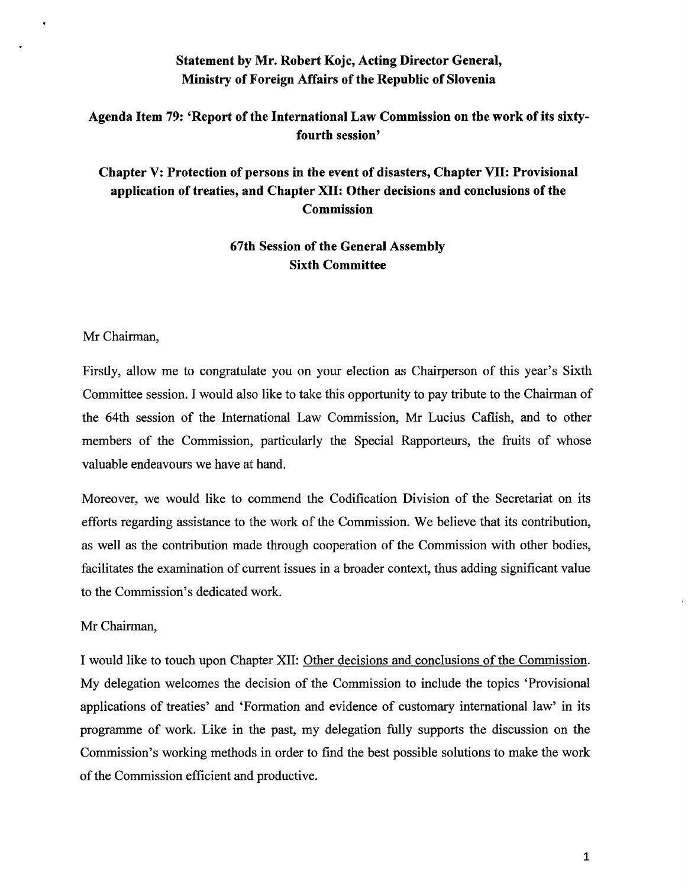## **Statement by Mr. Robert Kojc, Acting Director General, Ministry of Foreign Affairs of the Republic of Slovenia**

### **Agenda Item 79: 'Report of the International Law Commission on the work of its sixtyfourth session'**

# **Chapter V: Protection of persons in the event of disasters, Chapter VII: Provisional application of treaties, and Chapter XII: Other decisions and conclusions of the Commission**

## **67th Session of the General Assembly Sixth Committee**

#### Mr Chairman,

Firstly, allow me to congratulate you on your election as Chairperson of this year's Sixth Committee session. I would also like to take this opportunity to pay tribute to the Chairman of the 64th session of the International Law Commission, Mr Lucius Caflish, and to other members of the Commission, particularly the Special Rapporteurs, the fruits of whose valuable endeavours we have at hand.

Moreover, we would like to commend the Codification Division of the Secretariat on its efforts regarding assistance to the work of the Commission. We believe that its contribution, as well as the contribution made through cooperation of the Commission with other bodies, facilitates the examination of current issues in a broader context, thus adding significant value to the Commission's dedicated work.

#### Mr Chairman,

I would like to touch upon Chapter XII: Other decisions and conclusions of the Commission. My delegation welcomes the decision of the Commission to include the topics 'Provisional applications of treaties' and 'Formation and evidence of customary international law' in its programme of work. Like in the past, my delegation fully supports the discussion on the Commission's working methods in order to find the best possible solutions to make the work of the Commission efficient and productive.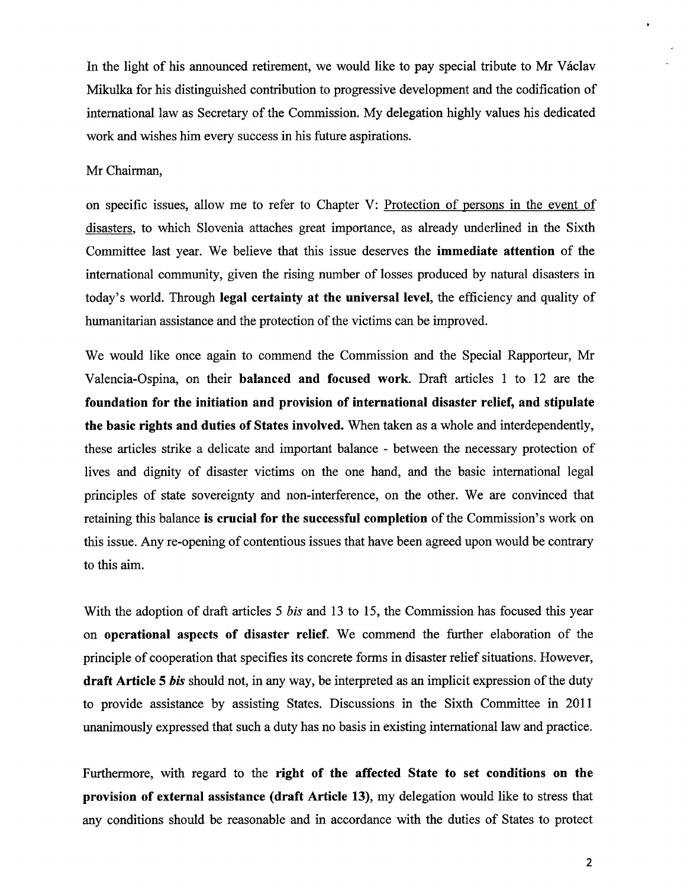In the light of his announced retirement, we would like to pay special tribute to Mr Václav Mikulka for his distinguished contribution to progressive development and the codification of international law as Secretary of the Commission. My delegation highly values his dedicated work and wishes him every success in his future aspirations.

#### Mr Chairman,

on specific issues, allow me to refer to Chapter V: Protection of persons in the event of disasters, to which Slovenia attaches great importance, as already underlined in the Sixth Committee last year. We believe that this issue deserves the **immediate attention** of the international community, given the rising number of losses produced by natural disasters in today's world. Through **legal certainty at the universal level,** the efficiency and quality of humanitarian assistance and the protection of the victims can be improved.

We would like once again to commend the Commission and the Special Rapporteur, Mr Valencia-Ospina, on their **balanced and focused work.** Draft articles 1 to 12 are the **foundation for the initiation and provision of international disaster relief, and stipulate the basic rights and duties of States involved.** When taken as a whole and interdependently, these articles strike a delicate and important balance - between the necessary protection of lives and dignity of disaster victims on the one hand, and the basic international legal principles of state sovereignty and non-interference, on the other. We are convinced that retaining this balance **is crucial for the successful completion** of the Commission's work on this issue. Any re-opening of contentious issues that have been agreed upon would be contrary to this aim.

With the adoption of draft articles 5 *bis* and 13 to 15, the Commission has focused this year on **operational aspects of disaster relief.** We commend the further elaboration of the principle of cooperation that specifies its concrete forms in disaster relief situations. However, **draft Article 5** *bis* should not, in any way, be interpreted as an implicit expression of the duty to provide assistance by assisting States. Discussions in the Sixth Committee in 2011 unanimously expressed that such a duty has no basis in existing international law and practice.

Furthermore, with regard to the **right of the affected State to set conditions on the provision of external assistance** ( **draft Article 13),** my delegation would like to stress that any conditions should be reasonable and in accordance with the duties of States to protect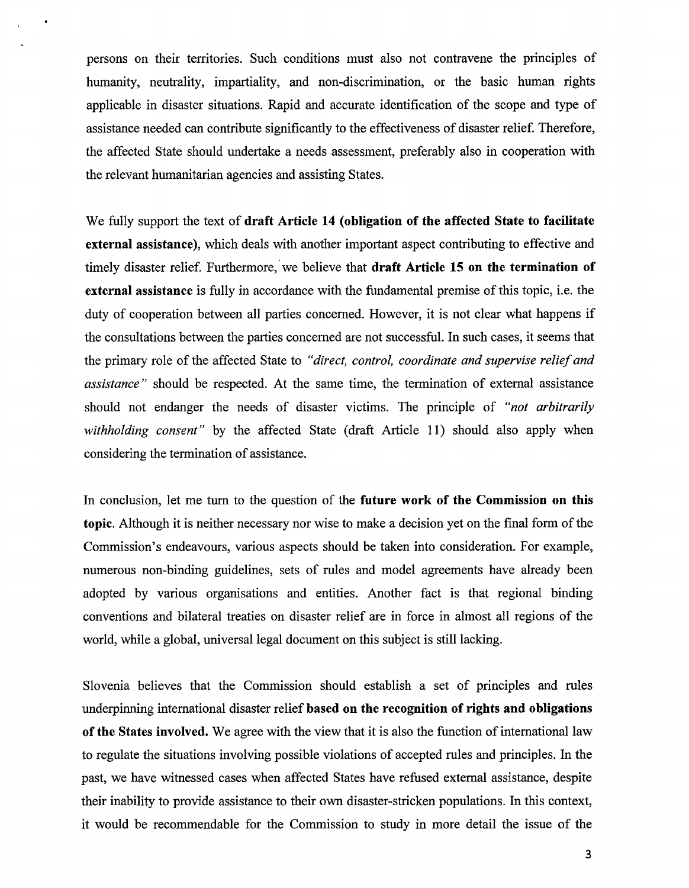persons on their territories. Such conditions must also not contravene the principles of humanity, neutrality, impartiality, and non-discrimination, or the basic human rights applicable in disaster situations. Rapid and accurate identification of the scope and type of assistance needed can contribute significantly to the effectiveness of disaster relief. Therefore, the affected State should undertake a needs assessment, preferably also in cooperation with the relevant humanitarian agencies and assisting States.

We fully support the text of **draft Article 14 (obligation of the affected State to facilitate external assistance),** which deals with another important aspect contributing to effective and timely disaster relief. Furthermore, we believe that **draft Article 15 on the termination of external assistance** is fully in accordance with the fundamental premise of this topic, i.e. the duty of cooperation between all parties concerned. However, it is not clear what happens if the consultations between the parties concerned are not successful. In such cases, it seems that the primary role of the affected State to *"direct, control, coordinate and supervise relief and assistance* " should be respected. At the same time, the termination of external assistance should not endanger the needs of disaster victims. The principle of *"not arbitrarily withholding consent*" by the affected State (draft Article 11) should also apply when considering the termination of assistance.

In conclusion, let me turn to the question of the **future work of the Commission on this topic.** Although it is neither necessary nor wise to make a decision yet on the final form of the Commission's endeavours, various aspects should be taken into consideration. For example, numerous non-binding guidelines, sets of rules and model agreements have already been adopted by various organisations and entities. Another fact is that regional binding conventions and bilateral treaties on disaster relief are in force in almost all regions of the world, while a global, universal legal document on this subject is still lacking.

Slovenia believes that the Commission should establish a set of principles and rules underpinning international disaster relief **based on the recognition of rights and obligations of the States involved.** We agree with the view that it is also the function of international law to regulate the situations involving possible violations of accepted rules and principles. In the past, we have witnessed cases when affected States have refused external assistance, despite their inability to provide assistance to their own disaster-stricken populations. In this context, it would be recommendable for the Commission to study in more detail the issue of the